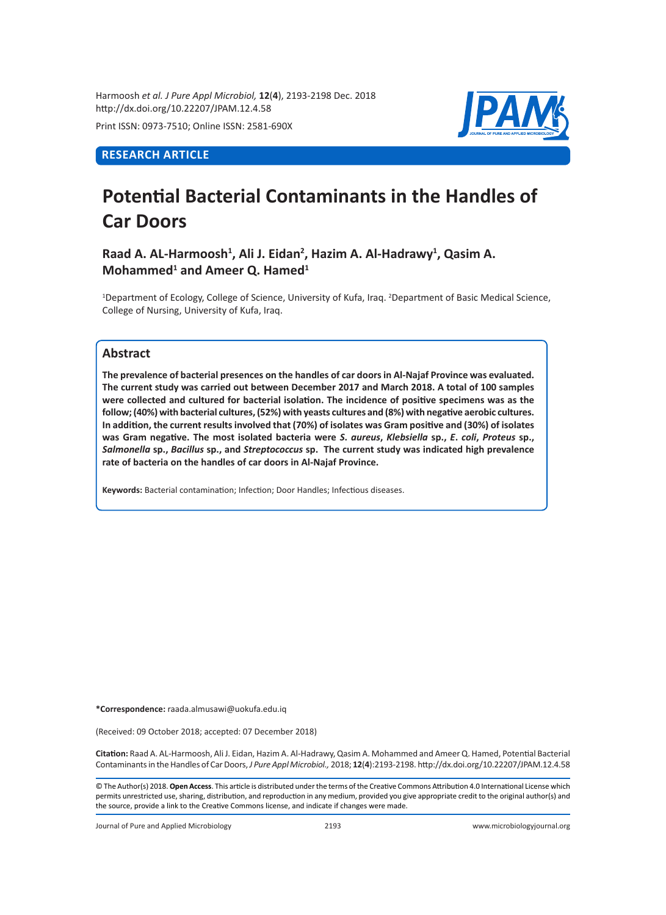Harmoosh *et al. J Pure Appl Microbiol,* **12**(**4**), 2193-2198 Dec. 2018 http://dx.doi.org/10.22207/JPAM.12.4.58

Print ISSN: 0973-7510; Online ISSN: 2581-690X

# **RESEARCH ARTICLE**



# **Potential Bacterial Contaminants in the Handles of Car Doors**

**Raad A. AL-Harmoosh<sup>1</sup> , Ali J. Eidan<sup>2</sup> , Hazim A. Al-Hadrawy<sup>1</sup> , Qasim A. Mohammed<sup>1</sup> and Ameer Q. Hamed<sup>1</sup>**

<sup>1</sup>Department of Ecology, College of Science, University of Kufa, Iraq. <sup>2</sup>Department of Basic Medical Science, College of Nursing, University of Kufa, Iraq.

# **Abstract**

**The prevalence of bacterial presences on the handles of car doors in Al-Najaf Province was evaluated. The current study was carried out between December 2017 and March 2018. A total of 100 samples were collected and cultured for bacterial isolation. The incidence of positive specimens was as the follow; (40%) with bacterial cultures, (52%) with yeasts cultures and (8%) with negative aerobic cultures. In addition, the current results involved that (70%) of isolates was Gram positive and (30%) of isolates was Gram negative. The most isolated bacteria were** *S***.** *aureus***,** *Klebsiella* **sp.,** *E***.** *coli***,** *Proteus* **sp.,**  *Salmonella* **sp.,** *Bacillus* **sp., and** *Streptococcus* **sp. The current study was indicated high prevalence rate of bacteria on the handles of car doors in Al-Najaf Province.**

**Keywords:** Bacterial contamination; Infection; Door Handles; Infectious diseases.

**\*Correspondence:** raada.almusawi@uokufa.edu.iq

(Received: 09 October 2018; accepted: 07 December 2018)

**Citation:** Raad A. AL-Harmoosh, Ali J. Eidan, Hazim A. Al-Hadrawy, Qasim A. Mohammed and Ameer Q. Hamed, Potential Bacterial Contaminants in the Handles of Car Doors, *J Pure Appl Microbiol.,* 2018; **12**(**4**):2193-2198. http://dx.doi.org/10.22207/JPAM.12.4.58

© The Author(s) 2018. **Open Access**. This article is distributed under the terms of the Creative Commons Attribution 4.0 International License which permits unrestricted use, sharing, distribution, and reproduction in any medium, provided you give appropriate credit to the original author(s) and the source, provide a link to the Creative Commons license, and indicate if changes were made.

Journal of Pure and Applied Microbiology 2193 www.microbiologyjournal.org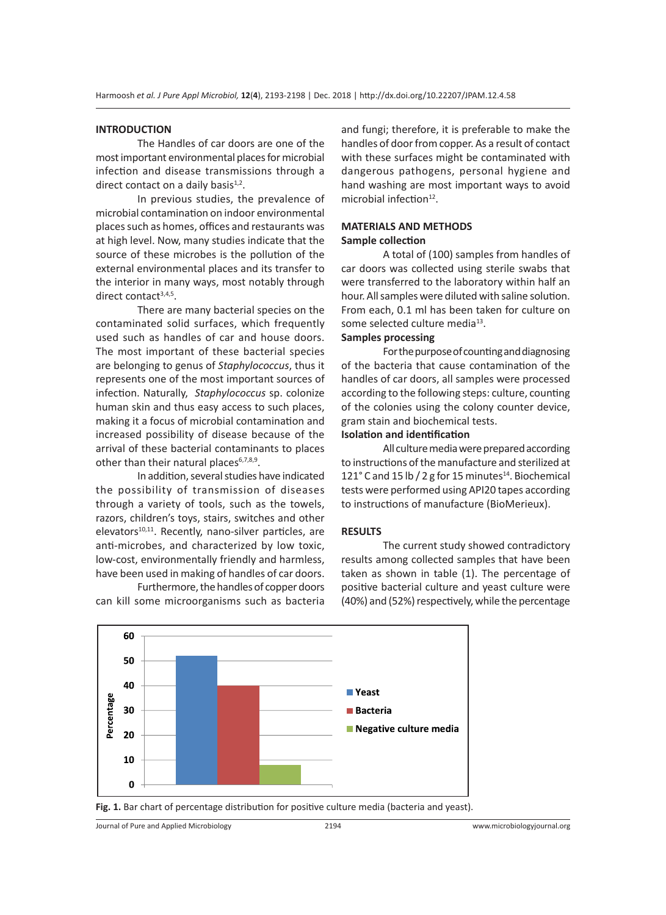#### **INTRODUCTION**

The Handles of car doors are one of the most important environmental places for microbial infection and disease transmissions through a direct contact on a daily basis $1,2$ .

In previous studies, the prevalence of microbial contamination on indoor environmental places such as homes, offices and restaurants was at high level. Now, many studies indicate that the source of these microbes is the pollution of the external environmental places and its transfer to the interior in many ways, most notably through direct contact $3,4,5$ .

There are many bacterial species on the contaminated solid surfaces, which frequently used such as handles of car and house doors. The most important of these bacterial species are belonging to genus of *Staphylococcus*, thus it represents one of the most important sources of infection. Naturally, *Staphylococcus* sp. colonize human skin and thus easy access to such places, making it a focus of microbial contamination and increased possibility of disease because of the arrival of these bacterial contaminants to places other than their natural places<sup>6,7,8,9</sup>.

In addition, several studies have indicated the possibility of transmission of diseases through a variety of tools, such as the towels, razors, children's toys, stairs, switches and other elevators $10,11$ . Recently, nano-silver particles, are anti-microbes, and characterized by low toxic, low-cost, environmentally friendly and harmless, have been used in making of handles of car doors.

Furthermore, the handles of copper doors can kill some microorganisms such as bacteria and fungi; therefore, it is preferable to make the handles of door from copper. As a result of contact with these surfaces might be contaminated with dangerous pathogens, personal hygiene and hand washing are most important ways to avoid microbial infection $12$ .

#### **MATERIALS AND METHODS Sample collection**

A total of (100) samples from handles of car doors was collected using sterile swabs that were transferred to the laboratory within half an hour. All samples were diluted with saline solution. From each, 0.1 ml has been taken for culture on some selected culture media<sup>13</sup>.

## **Samples processing**

For the purpose of counting and diagnosing of the bacteria that cause contamination of the handles of car doors, all samples were processed according to the following steps: culture, counting of the colonies using the colony counter device, gram stain and biochemical tests.

# **Isolation and identification**

All culture media were prepared according to instructions of the manufacture and sterilized at 121 $^{\circ}$  C and 15 lb / 2 g for 15 minutes<sup>14</sup>. Biochemical tests were performed using API20 tapes according to instructions of manufacture (BioMerieux).

#### **RESULTS**

The current study showed contradictory results among collected samples that have been taken as shown in table (1). The percentage of positive bacterial culture and yeast culture were (40%) and (52%) respectively, while the percentage



**Fig. 1.** Bar chart of percentage distribution for positive culture media (bacteria and yeast).

Journal of Pure and Applied Microbiology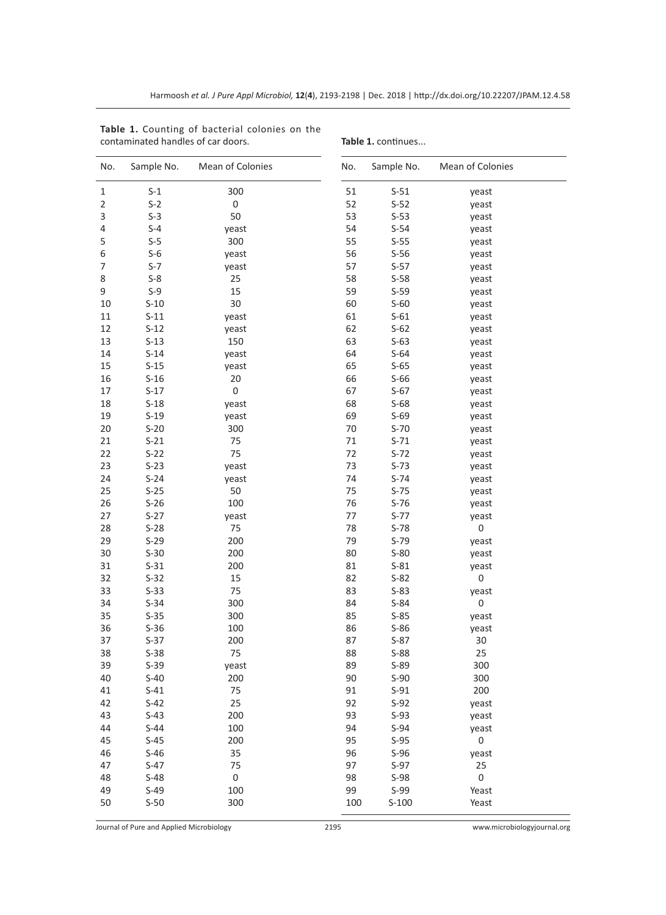| No.            | Sample No. | Mean of Colonies | No. | Sample No. | Mean of Colonies |
|----------------|------------|------------------|-----|------------|------------------|
| 1              | $S-1$      | 300              | 51  | $S-51$     | yeast            |
| $\overline{2}$ | $S-2$      | $\boldsymbol{0}$ | 52  | $S-52$     | yeast            |
| 3              | $S-3$      | 50               | 53  | $S-53$     | yeast            |
| 4              | $S-4$      | yeast            | 54  | $S-54$     | yeast            |
| 5              | $S-5$      | 300              | 55  | $S-55$     | yeast            |
| 6              | $S-6$      | yeast            | 56  | $S-56$     | yeast            |
| 7              | $S-7$      | yeast            | 57  | $S-57$     | yeast            |
| 8              | $S-8$      | 25               | 58  | $S-58$     | yeast            |
| 9              | $S-9$      | 15               | 59  | $S-59$     | yeast            |
| 10             | $S-10$     | 30               | 60  | $S-60$     | yeast            |
| 11             | $S-11$     | yeast            | 61  | $S-61$     | yeast            |
| 12             | $S-12$     | yeast            | 62  | $S-62$     | yeast            |
| 13             | $S-13$     | 150              | 63  | $S-63$     | yeast            |
| 14             | $S-14$     | yeast            | 64  | $S-64$     | yeast            |
| 15             | $S-15$     | yeast            | 65  | $S-65$     | yeast            |
| 16             | $S-16$     | 20               | 66  | $S-66$     | yeast            |
| 17             | $S-17$     | $\boldsymbol{0}$ | 67  | $S-67$     | yeast            |
| 18             | $S-18$     | yeast            | 68  | $S-68$     | yeast            |
| 19             | $S-19$     | yeast            | 69  | $S-69$     | yeast            |
| 20             | $S-20$     | 300              | 70  | $S-70$     | yeast            |
| 21             | $S-21$     | 75               | 71  | $S-71$     | yeast            |
| 22             | $S-22$     | 75               | 72  | $S-72$     | yeast            |
| 23             | $S-23$     | yeast            | 73  | $S-73$     | yeast            |
| 24             | $S-24$     | yeast            | 74  | $S-74$     | yeast            |
| 25             | $S-25$     | 50               | 75  | $S-75$     | yeast            |
| 26             | $S-26$     | 100              | 76  | $S-76$     | yeast            |
| 27             | $S-27$     | yeast            | 77  | $S-77$     | yeast            |
| 28             | $S-28$     | 75               | 78  | $S-78$     | $\boldsymbol{0}$ |
| 29             | $S-29$     | 200              | 79  | $S-79$     | yeast            |
| 30             | $S-30$     | 200              | 80  | $S-80$     | yeast            |
| 31             | $S-31$     | 200              | 81  | $S-81$     | yeast            |
| 32             | $S-32$     | 15               | 82  | $S-82$     | 0                |
| 33             | $S-33$     | 75               | 83  | $S-83$     | yeast            |
| 34             | $S-34$     | 300              | 84  | $S-84$     | $\boldsymbol{0}$ |
| 35             | $S-35$     | 300              | 85  | $S-85$     | yeast            |
| 36             | $S-36$     | 100              | 86  | $S-86$     | yeast            |
| 37             | $S-37$     | 200              | 87  | $S-87$     | 30               |
| 38             | $S-38$     | 75               | 88  | $S-88$     | 25               |
| 39             | $S-39$     | yeast            | 89  | $S-89$     | 300              |
| 40             | $S-40$     | 200              | 90  | $S-90$     | 300              |
| 41             | $S-41$     | 75               | 91  | $S-91$     | 200              |
| 42             | $S-42$     | 25               | 92  | $S-92$     | yeast            |
| 43             | $S-43$     | 200              | 93  | $S-93$     | yeast            |
| 44             | $S-44$     | 100              | 94  | $S-94$     | yeast            |
| 45             | $S-45$     | 200              | 95  | $S-95$     | $\boldsymbol{0}$ |
| 46             | $S-46$     | 35               | 96  | $S-96$     | yeast            |
| 47             | $S-47$     | 75               | 97  | $S-97$     | 25               |
| 48             | $S-48$     | $\boldsymbol{0}$ | 98  | $S-98$     | $\boldsymbol{0}$ |
| 49             | $S-49$     | 100              | 99  | $S-99$     | Yeast            |
| 50             | $S-50$     | 300              | 100 | $S-100$    | Yeast            |

**Table 1.** Counting of bacterial colonies on the contaminated handles of car doors.

#### Table 1. continues...

Journal of Pure and Applied Microbiology 2195 www.microbiologyjournal.org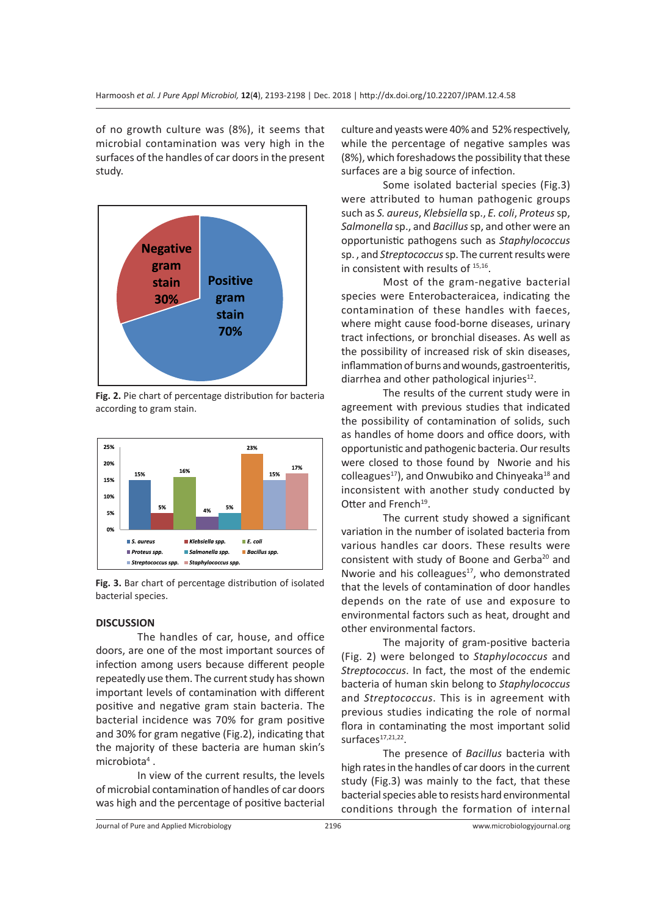of no growth culture was (8%), it seems that microbial contamination was very high in the surfaces of the handles of car doors in the present study.



**Fig. 2.** Pie chart of percentage distribution for bacteria according to gram stain.



**Fig. 3.** Bar chart of percentage distribution of isolated bacterial species.

#### **DISCUSSION**

The handles of car, house, and office doors, are one of the most important sources of infection among users because different people repeatedly use them. The current study has shown important levels of contamination with different positive and negative gram stain bacteria. The bacterial incidence was 70% for gram positive and 30% for gram negative (Fig.2), indicating that the majority of these bacteria are human skin's microbiota<sup>4</sup>.

In view of the current results, the levels of microbial contamination of handles of car doors was high and the percentage of positive bacterial culture and yeasts were 40% and 52% respectively, while the percentage of negative samples was (8%), which foreshadows the possibility that these surfaces are a big source of infection.

Some isolated bacterial species (Fig.3) were attributed to human pathogenic groups such as *S. aureus*, *Klebsiella* sp., *E. coli*, *Proteus* sp, *Salmonella* sp., and *Bacillus* sp, and other were an opportunistic pathogens such as *Staphylococcus* sp. , and *Streptococcus* sp. The current results were in consistent with results of <sup>15,16</sup>.

Most of the gram-negative bacterial species were Enterobacteraicea, indicating the contamination of these handles with faeces, where might cause food-borne diseases, urinary tract infections, or bronchial diseases. As well as the possibility of increased risk of skin diseases, inflammation of burns and wounds, gastroenteritis, diarrhea and other pathological injuries<sup>12</sup>.

The results of the current study were in agreement with previous studies that indicated the possibility of contamination of solids, such as handles of home doors and office doors, with opportunistic and pathogenic bacteria. Our results were closed to those found by Nworie and his colleagues<sup>17</sup>), and Onwubiko and Chinyeaka<sup>18</sup> and inconsistent with another study conducted by Otter and French<sup>19</sup>.

The current study showed a significant variation in the number of isolated bacteria from various handles car doors. These results were consistent with study of Boone and Gerba<sup>20</sup> and Nworie and his colleagues $17$ , who demonstrated that the levels of contamination of door handles depends on the rate of use and exposure to environmental factors such as heat, drought and other environmental factors.

The majority of gram-positive bacteria (Fig. 2) were belonged to *Staphylococcus* and *Streptococcus*. In fact, the most of the endemic bacteria of human skin belong to *Staphylococcus* and *Streptococcus*. This is in agreement with previous studies indicating the role of normal flora in contaminating the most important solid surfaces $17,21,22$ .

The presence of *Bacillus* bacteria with high rates in the handles of car doors in the current study (Fig.3) was mainly to the fact, that these bacterial species able to resists hard environmental conditions through the formation of internal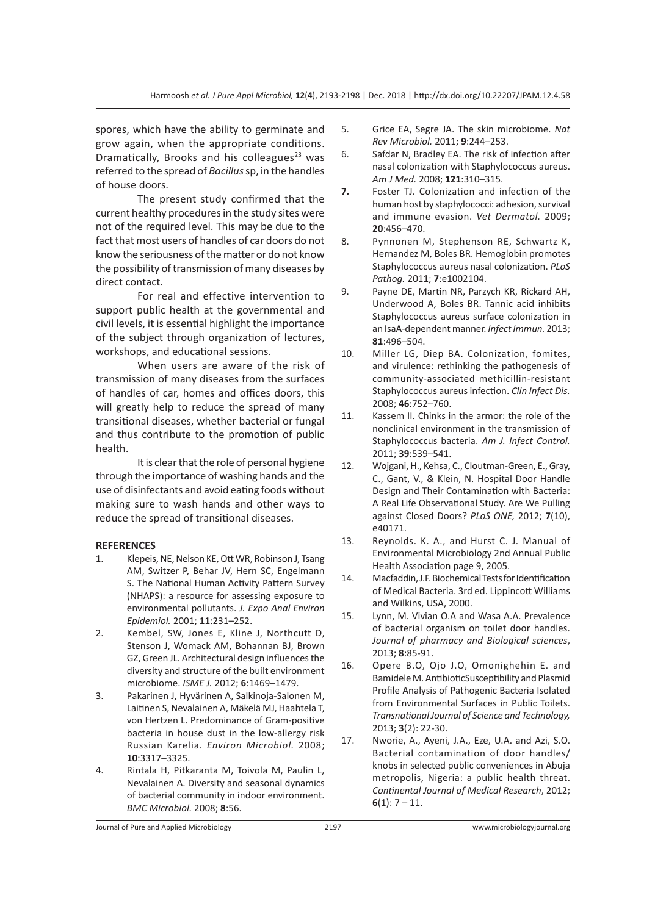spores, which have the ability to germinate and grow again, when the appropriate conditions. Dramatically, Brooks and his colleagues $23$  was referred to the spread of *Bacillus* sp, in the handles of house doors.

The present study confirmed that the current healthy procedures in the study sites were not of the required level. This may be due to the fact that most users of handles of car doors do not know the seriousness of the matter or do not know the possibility of transmission of many diseases by direct contact.

For real and effective intervention to support public health at the governmental and civil levels, it is essential highlight the importance of the subject through organization of lectures, workshops, and educational sessions.

When users are aware of the risk of transmission of many diseases from the surfaces of handles of car, homes and offices doors, this will greatly help to reduce the spread of many transitional diseases, whether bacterial or fungal and thus contribute to the promotion of public health.

It is clear that the role of personal hygiene through the importance of washing hands and the use of disinfectants and avoid eating foods without making sure to wash hands and other ways to reduce the spread of transitional diseases.

## **REFERENCES**

- 1. Klepeis, NE, Nelson KE, Ott WR, Robinson J, Tsang AM, Switzer P, Behar JV, Hern SC, Engelmann S. The National Human Activity Pattern Survey (NHAPS): a resource for assessing exposure to environmental pollutants. *J. Expo Anal Environ Epidemiol.* 2001; **11**:231–252.
- 2. Kembel, SW, Jones E, Kline J, Northcutt D, Stenson J, Womack AM, Bohannan BJ, Brown GZ, Green JL. Architectural design influences the diversity and structure of the built environment microbiome. *ISME J.* 2012; **6**:1469–1479.
- 3. Pakarinen J, Hyvärinen A, Salkinoja-Salonen M, Laitinen S, Nevalainen A, Mäkelä MJ, Haahtela T, von Hertzen L. Predominance of Gram-positive bacteria in house dust in the low-allergy risk Russian Karelia. *Environ Microbiol.* 2008; **10**:3317–3325.
- 4. Rintala H, Pitkaranta M, Toivola M, Paulin L, Nevalainen A. Diversity and seasonal dynamics of bacterial community in indoor environment. *BMC Microbiol.* 2008; **8**:56.
- 5. Grice EA, Segre JA. The skin microbiome. *Nat Rev Microbiol.* 2011; **9**:244–253.
- 6. Safdar N, Bradley EA. The risk of infection after nasal colonization with Staphylococcus aureus. *Am J Med.* 2008; **121**:310–315.
- **7.** Foster TJ. Colonization and infection of the human host by staphylococci: adhesion, survival and immune evasion. *Vet Dermatol.* 2009; **20**:456–470.
- 8. Pynnonen M, Stephenson RE, Schwartz K, Hernandez M, Boles BR. Hemoglobin promotes Staphylococcus aureus nasal colonization. *PLoS Pathog.* 2011; **7**:e1002104.
- 9. Payne DE, Martin NR, Parzych KR, Rickard AH, Underwood A, Boles BR. Tannic acid inhibits Staphylococcus aureus surface colonization in an IsaA-dependent manner. *Infect Immun.* 2013; **81**:496–504.
- 10. Miller LG, Diep BA. Colonization, fomites, and virulence: rethinking the pathogenesis of community-associated methicillin-resistant Staphylococcus aureus infection. *Clin Infect Dis.* 2008; **46**:752–760.
- 11. Kassem II. Chinks in the armor: the role of the nonclinical environment in the transmission of Staphylococcus bacteria. *Am J. Infect Control.* 2011; **39**:539–541.
- 12. Wojgani, H., Kehsa, C., Cloutman-Green, E., Gray, C., Gant, V., & Klein, N. Hospital Door Handle Design and Their Contamination with Bacteria: A Real Life Observational Study. Are We Pulling against Closed Doors? *PLoS ONE,* 2012; **7**(10), e40171.
- 13. Reynolds. K. A., and Hurst C. J. Manual of Environmental Microbiology 2nd Annual Public Health Association page 9, 2005.
- 14. Macfaddin, J.F. Biochemical Tests for Identification of Medical Bacteria. 3rd ed. Lippincott Williams and Wilkins, USA, 2000.
- 15. Lynn, M. Vivian O.A and Wasa A.A. Prevalence of bacterial organism on toilet door handles. *Journal of pharmacy and Biological sciences*, 2013; **8**:85-91.
- 16. Opere B.O, Ojo J.O, Omonighehin E. and Bamidele M. AntibioticSusceptibility and Plasmid Profile Analysis of Pathogenic Bacteria Isolated from Environmental Surfaces in Public Toilets. *Transnational Journal of Science and Technology,*  2013; **3**(2): 22-30.
- 17. Nworie, A., Ayeni, J.A., Eze, U.A. and Azi, S.O. Bacterial contamination of door handles/ knobs in selected public conveniences in Abuja metropolis, Nigeria: a public health threat. *Continental Journal of Medical Research*, 2012; **6**(1): 7 – 11.

Journal of Pure and Applied Microbiology 2197 www.microbiologyjournal.org